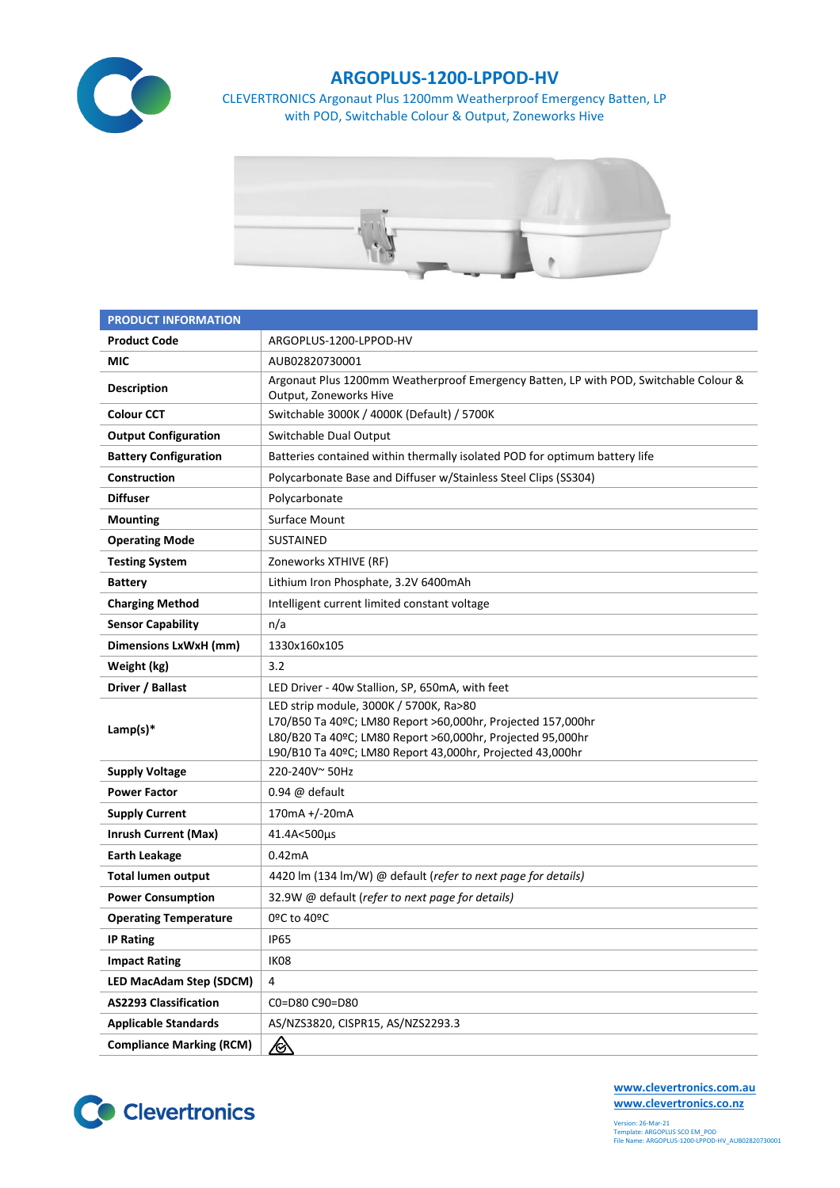

## **ARGOPLUS-1200-LPPOD-HV**

CLEVERTRONICS Argonaut Plus 1200mm Weatherproof Emergency Batten, LP with POD, Switchable Colour & Output, Zoneworks Hive



| <b>PRODUCT INFORMATION</b>      |                                                                                                                                                                                                                                  |  |  |  |  |
|---------------------------------|----------------------------------------------------------------------------------------------------------------------------------------------------------------------------------------------------------------------------------|--|--|--|--|
| <b>Product Code</b>             | ARGOPLUS-1200-LPPOD-HV                                                                                                                                                                                                           |  |  |  |  |
| MIC                             | AUB02820730001                                                                                                                                                                                                                   |  |  |  |  |
| <b>Description</b>              | Argonaut Plus 1200mm Weatherproof Emergency Batten, LP with POD, Switchable Colour &<br>Output, Zoneworks Hive                                                                                                                   |  |  |  |  |
| <b>Colour CCT</b>               | Switchable 3000K / 4000K (Default) / 5700K                                                                                                                                                                                       |  |  |  |  |
| <b>Output Configuration</b>     | Switchable Dual Output                                                                                                                                                                                                           |  |  |  |  |
| <b>Battery Configuration</b>    | Batteries contained within thermally isolated POD for optimum battery life                                                                                                                                                       |  |  |  |  |
| Construction                    | Polycarbonate Base and Diffuser w/Stainless Steel Clips (SS304)                                                                                                                                                                  |  |  |  |  |
| <b>Diffuser</b>                 | Polycarbonate                                                                                                                                                                                                                    |  |  |  |  |
| <b>Mounting</b>                 | Surface Mount                                                                                                                                                                                                                    |  |  |  |  |
| <b>Operating Mode</b>           | <b>SUSTAINED</b>                                                                                                                                                                                                                 |  |  |  |  |
| <b>Testing System</b>           | Zoneworks XTHIVE (RF)                                                                                                                                                                                                            |  |  |  |  |
| <b>Battery</b>                  | Lithium Iron Phosphate, 3.2V 6400mAh                                                                                                                                                                                             |  |  |  |  |
| <b>Charging Method</b>          | Intelligent current limited constant voltage                                                                                                                                                                                     |  |  |  |  |
| <b>Sensor Capability</b>        | n/a                                                                                                                                                                                                                              |  |  |  |  |
| Dimensions LxWxH (mm)           | 1330x160x105                                                                                                                                                                                                                     |  |  |  |  |
| Weight (kg)                     | 3.2                                                                                                                                                                                                                              |  |  |  |  |
| Driver / Ballast                | LED Driver - 40w Stallion, SP, 650mA, with feet                                                                                                                                                                                  |  |  |  |  |
| Lamp(s) $*$                     | LED strip module, 3000K / 5700K, Ra>80<br>L70/B50 Ta 40ºC; LM80 Report >60,000hr, Projected 157,000hr<br>L80/B20 Ta 40ºC; LM80 Report >60,000hr, Projected 95,000hr<br>L90/B10 Ta 40ºC; LM80 Report 43,000hr, Projected 43,000hr |  |  |  |  |
| <b>Supply Voltage</b>           | 220-240V~50Hz                                                                                                                                                                                                                    |  |  |  |  |
| <b>Power Factor</b>             | $0.94 \ @$ default                                                                                                                                                                                                               |  |  |  |  |
| <b>Supply Current</b>           | 170mA +/-20mA                                                                                                                                                                                                                    |  |  |  |  |
| <b>Inrush Current (Max)</b>     | 41.4A<500µs                                                                                                                                                                                                                      |  |  |  |  |
| <b>Earth Leakage</b>            | 0.42mA                                                                                                                                                                                                                           |  |  |  |  |
| <b>Total lumen output</b>       | 4420 lm (134 lm/W) @ default (refer to next page for details)                                                                                                                                                                    |  |  |  |  |
| <b>Power Consumption</b>        | 32.9W @ default (refer to next page for details)                                                                                                                                                                                 |  |  |  |  |
| <b>Operating Temperature</b>    | 0ºC to 40ºC                                                                                                                                                                                                                      |  |  |  |  |
| <b>IP Rating</b>                | <b>IP65</b>                                                                                                                                                                                                                      |  |  |  |  |
| <b>Impact Rating</b>            | IK08                                                                                                                                                                                                                             |  |  |  |  |
| <b>LED MacAdam Step (SDCM)</b>  | 4                                                                                                                                                                                                                                |  |  |  |  |
| <b>AS2293 Classification</b>    | C0=D80 C90=D80                                                                                                                                                                                                                   |  |  |  |  |
| <b>Applicable Standards</b>     | AS/NZS3820, CISPR15, AS/NZS2293.3                                                                                                                                                                                                |  |  |  |  |
| <b>Compliance Marking (RCM)</b> | <u>⁄⊗</u>                                                                                                                                                                                                                        |  |  |  |  |



**[www.clevertronics.com.au](http://www.clevertronics.com.au/) www.clevertronics.co.nz**

Version: 26-Mar-21 Template: ARGOPLUS SCO EM\_POD File Name: ARGOPLUS-1200-LPPOD-HV\_AUB02820730001